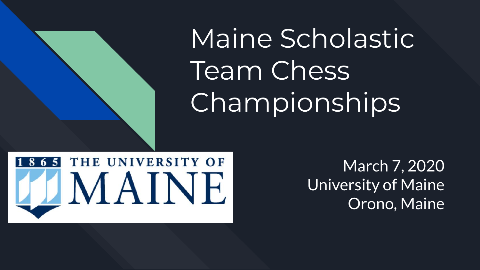Maine Scholastic Team Chess Championships



March 7, 2020 University of Maine Orono, Maine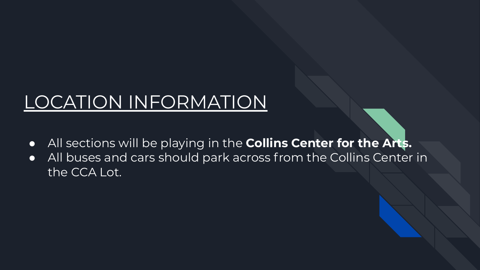## LOCATION INFORMATION

- All sections will be playing in the **Collins Center for the Arts.**
- All buses and cars should park across from the Collins Center in the CCA Lot.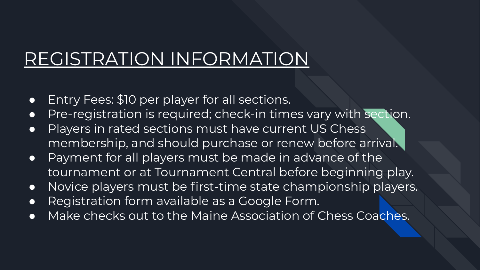### REGISTRATION INFORMATION

- **•** Entry Fees: \$10 per player for all sections.
- Pre-registration is required; check-in times vary with section.
- Players in rated sections must have current US Chess membership, and should purchase or renew before arrival.
- Payment for all players must be made in advance of the tournament or at Tournament Central before beginning play.
- Novice players must be first-time state championship players.
- Registration form available as a Google Form.
- Make checks out to the Maine Association of Chess Coaches.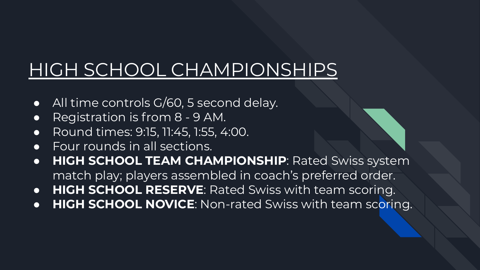# HIGH SCHOOL CHAMPIONSHIPS

- All time controls G/60, 5 second delay.
- Registration is from 8 9 AM.
- Round times: 9:15, 11:45, 1:55, 4:00.
- Four rounds in all sections.
- **HIGH SCHOOL TEAM CHAMPIONSHIP**: Rated Swiss system match play; players assembled in coach's preferred order.
- **HIGH SCHOOL RESERVE**: Rated Swiss with team scoring.
- **HIGH SCHOOL NOVICE**: Non-rated Swiss with team scoring.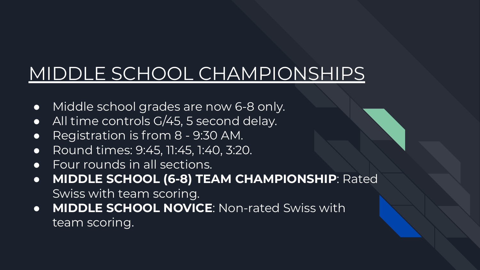### MIDDLE SCHOOL CHAMPIONSHIPS

- Middle school grades are now 6-8 only.
- All time controls G/45, 5 second delay.
- Registration is from 8 9:30 AM.
- Round times: 9:45, 11:45, 1:40, 3:20.
- Four rounds in all sections.
- **MIDDLE SCHOOL (6-8) TEAM CHAMPIONSHIP**: Rated Swiss with team scoring.
- **MIDDLE SCHOOL NOVICE**: Non-rated Swiss with team scoring.